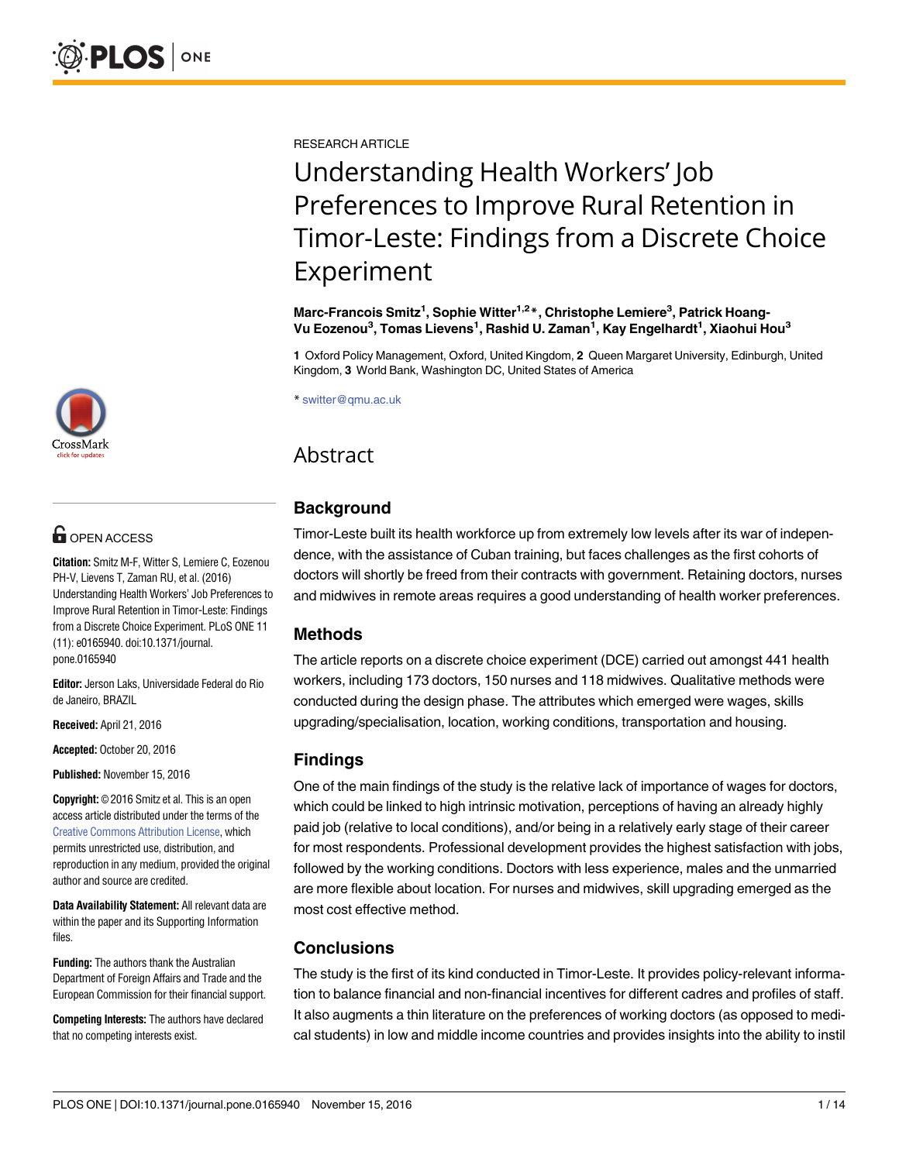[a11111](http://crossmark.crossref.org/dialog/?doi=10.1371/journal.pone.0165940&domain=pdf)

## **G** OPEN ACCESS

**Citation:** Smitz M-F, Witter S, Lemiere C, Eozenou PH-V, Lievens T, Zaman RU, et al. (2016) Understanding Health Workers' Job Preferences to Improve Rural Retention in Timor-Leste: Findings from a Discrete Choice Experiment. PLoS ONE 11 (11): e0165940. doi:10.1371/journal. pone.0165940

**Editor:** Jerson Laks, Universidade Federal do Rio de Janeiro, BRAZIL

**Received:** April 21, 2016

**Accepted:** October 20, 2016

**Published:** November 15, 2016

**Copyright:** © 2016 Smitz et al. This is an open access article distributed under the terms of the Creative Commons [Attribution](http://creativecommons.org/licenses/by/4.0/) License, which permits unrestricted use, distribution, and reproduction in any medium, provided the original author and source are credited.

**Data Availability Statement:** All relevant data are within the paper and its Supporting Information files.

**Funding:** The authors thank the Australian Department of Foreign Affairs and Trade and the European Commission for their financial support.

**Competing Interests:** The authors have declared that no competing interests exist.

RESEARCH ARTICLE

# Understanding Health Workers' Job Preferences to Improve Rural Retention in Timor-Leste: Findings from a Discrete Choice Experiment

**Marc-Francois Smitz1 , Sophie Witter1,2\*, Christophe Lemiere3 , Patrick Hoang-Vu Eozenou3 , Tomas Lievens1 , Rashid U. Zaman1 , Kay Engelhardt1 , Xiaohui Hou3**

**1** Oxford Policy Management, Oxford, United Kingdom, **2** Queen Margaret University, Edinburgh, United Kingdom, **3** World Bank, Washington DC, United States of America

\* switter@qmu.ac.uk

## Abstract

## **Background**

Timor-Leste built its health workforce up from extremely low levels after its war of independence, with the assistance of Cuban training, but faces challenges as the first cohorts of doctors will shortly be freed from their contracts with government. Retaining doctors, nurses and midwives in remote areas requires a good understanding of health worker preferences.

## **Methods**

The article reports on a discrete choice experiment (DCE) carried out amongst 441 health workers, including 173 doctors, 150 nurses and 118 midwives. Qualitative methods were conducted during the design phase. The attributes which emerged were wages, skills upgrading/specialisation, location, working conditions, transportation and housing.

## **Findings**

One of the main findings of the study is the relative lack of importance of wages for doctors, which could be linked to high intrinsic motivation, perceptions of having an already highly paid job (relative to local conditions), and/or being in a relatively early stage of their career for most respondents. Professional development provides the highest satisfaction with jobs, followed by the working conditions. Doctors with less experience, males and the unmarried are more flexible about location. For nurses and midwives, skill upgrading emerged as the most cost effective method.

## **Conclusions**

The study is the first of its kind conducted in Timor-Leste. It provides policy-relevant information to balance financial and non-financial incentives for different cadres and profiles of staff. It also augments a thin literature on the preferences of working doctors (as opposed to medical students) in low and middle income countries and provides insights into the ability to instil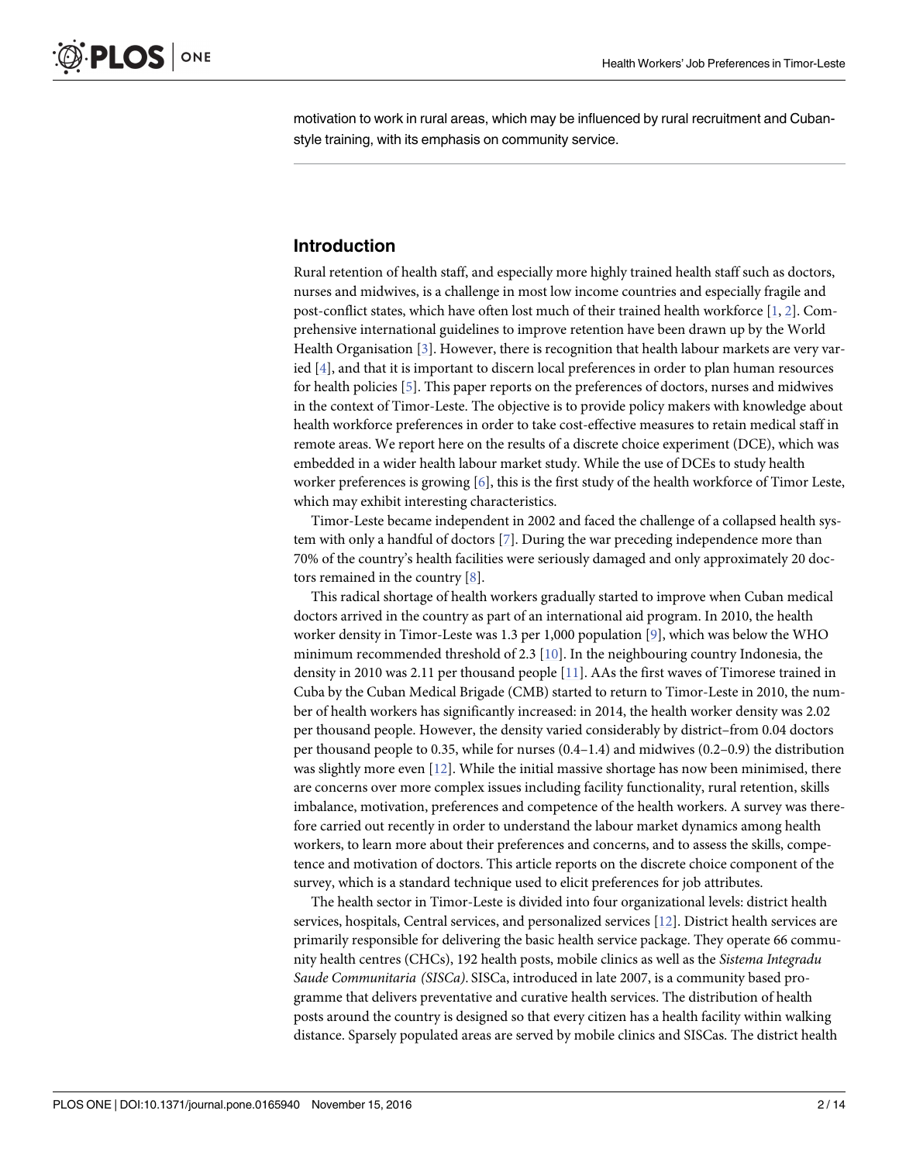<span id="page-1-0"></span>motivation to work in rural areas, which may be influenced by rural recruitment and Cubanstyle training, with its emphasis on community service.

## **Introduction**

Rural retention of health staff, and especially more highly trained health staff such as doctors, nurses and midwives, is a challenge in most low income countries and especially fragile and post-conflict states, which have often lost much of their trained health workforce [\[1](#page-12-0), [2](#page-12-0)]. Comprehensive international guidelines to improve retention have been drawn up by the World Health Organisation [\[3\]](#page-12-0). However, there is recognition that health labour markets are very varied [[4\]](#page-12-0), and that it is important to discern local preferences in order to plan human resources for health policies [\[5](#page-12-0)]. This paper reports on the preferences of doctors, nurses and midwives in the context of Timor-Leste. The objective is to provide policy makers with knowledge about health workforce preferences in order to take cost-effective measures to retain medical staff in remote areas. We report here on the results of a discrete choice experiment (DCE), which was embedded in a wider health labour market study. While the use of DCEs to study health worker preferences is growing [[6\]](#page-12-0), this is the first study of the health workforce of Timor Leste, which may exhibit interesting characteristics.

Timor-Leste became independent in 2002 and faced the challenge of a collapsed health system with only a handful of doctors [[7\]](#page-12-0). During the war preceding independence more than 70% of the country's health facilities were seriously damaged and only approximately 20 doctors remained in the country [[8\]](#page-12-0).

This radical shortage of health workers gradually started to improve when Cuban medical doctors arrived in the country as part of an international aid program. In 2010, the health worker density in Timor-Leste was 1.3 per 1,000 population [\[9\]](#page-12-0), which was below the WHO minimum recommended threshold of 2.3 [[10](#page-12-0)]. In the neighbouring country Indonesia, the density in 2010 was 2.11 per thousand people [\[11\]](#page-12-0). AAs the first waves of Timorese trained in Cuba by the Cuban Medical Brigade (CMB) started to return to Timor-Leste in 2010, the number of health workers has significantly increased: in 2014, the health worker density was 2.02 per thousand people. However, the density varied considerably by district–from 0.04 doctors per thousand people to 0.35, while for nurses (0.4–1.4) and midwives (0.2–0.9) the distribution was slightly more even [\[12\]](#page-12-0). While the initial massive shortage has now been minimised, there are concerns over more complex issues including facility functionality, rural retention, skills imbalance, motivation, preferences and competence of the health workers. A survey was therefore carried out recently in order to understand the labour market dynamics among health workers, to learn more about their preferences and concerns, and to assess the skills, competence and motivation of doctors. This article reports on the discrete choice component of the survey, which is a standard technique used to elicit preferences for job attributes.

The health sector in Timor-Leste is divided into four organizational levels: district health services, hospitals, Central services, and personalized services [[12](#page-12-0)]. District health services are primarily responsible for delivering the basic health service package. They operate 66 community health centres (CHCs), 192 health posts, mobile clinics as well as the *Sistema Integradu Saude Communitaria (SISCa)*. SISCa, introduced in late 2007, is a community based programme that delivers preventative and curative health services. The distribution of health posts around the country is designed so that every citizen has a health facility within walking distance. Sparsely populated areas are served by mobile clinics and SISCas. The district health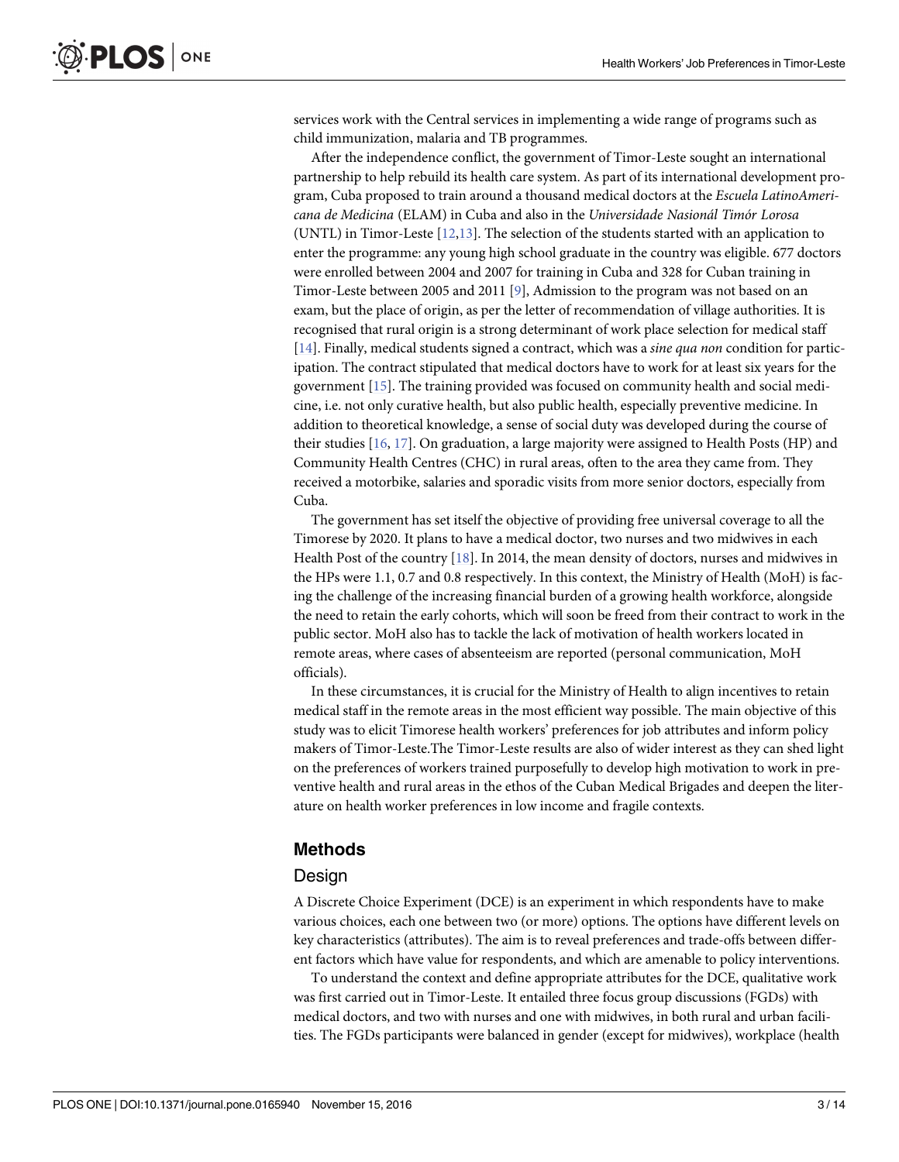<span id="page-2-0"></span>services work with the Central services in implementing a wide range of programs such as child immunization, malaria and TB programmes.

After the independence conflict, the government of Timor-Leste sought an international partnership to help rebuild its health care system. As part of its international development program, Cuba proposed to train around a thousand medical doctors at the *Escuela LatinoAmericana de Medicina* (ELAM) in Cuba and also in the *Universidade Nasionál Timór Lorosa* (UNTL) in Timor-Leste [[12](#page-12-0),[13](#page-12-0)]. The selection of the students started with an application to enter the programme: any young high school graduate in the country was eligible. 677 doctors were enrolled between 2004 and 2007 for training in Cuba and 328 for Cuban training in Timor-Leste between 2005 and 2011 [\[9](#page-12-0)], Admission to the program was not based on an exam, but the place of origin, as per the letter of recommendation of village authorities. It is recognised that rural origin is a strong determinant of work place selection for medical staff [\[14\]](#page-12-0). Finally, medical students signed a contract, which was a *sine qua non* condition for participation. The contract stipulated that medical doctors have to work for at least six years for the government [\[15\]](#page-13-0). The training provided was focused on community health and social medicine, i.e. not only curative health, but also public health, especially preventive medicine. In addition to theoretical knowledge, a sense of social duty was developed during the course of their studies [\[16,](#page-13-0) [17\]](#page-13-0). On graduation, a large majority were assigned to Health Posts (HP) and Community Health Centres (CHC) in rural areas, often to the area they came from. They received a motorbike, salaries and sporadic visits from more senior doctors, especially from Cuba.

The government has set itself the objective of providing free universal coverage to all the Timorese by 2020. It plans to have a medical doctor, two nurses and two midwives in each Health Post of the country [\[18\]](#page-13-0). In 2014, the mean density of doctors, nurses and midwives in the HPs were 1.1, 0.7 and 0.8 respectively. In this context, the Ministry of Health (MoH) is facing the challenge of the increasing financial burden of a growing health workforce, alongside the need to retain the early cohorts, which will soon be freed from their contract to work in the public sector. MoH also has to tackle the lack of motivation of health workers located in remote areas, where cases of absenteeism are reported (personal communication, MoH officials).

In these circumstances, it is crucial for the Ministry of Health to align incentives to retain medical staff in the remote areas in the most efficient way possible. The main objective of this study was to elicit Timorese health workers' preferences for job attributes and inform policy makers of Timor-Leste.The Timor-Leste results are also of wider interest as they can shed light on the preferences of workers trained purposefully to develop high motivation to work in preventive health and rural areas in the ethos of the Cuban Medical Brigades and deepen the literature on health worker preferences in low income and fragile contexts.

### **Methods**

#### **Design**

A Discrete Choice Experiment (DCE) is an experiment in which respondents have to make various choices, each one between two (or more) options. The options have different levels on key characteristics (attributes). The aim is to reveal preferences and trade-offs between different factors which have value for respondents, and which are amenable to policy interventions.

To understand the context and define appropriate attributes for the DCE, qualitative work was first carried out in Timor-Leste. It entailed three focus group discussions (FGDs) with medical doctors, and two with nurses and one with midwives, in both rural and urban facilities. The FGDs participants were balanced in gender (except for midwives), workplace (health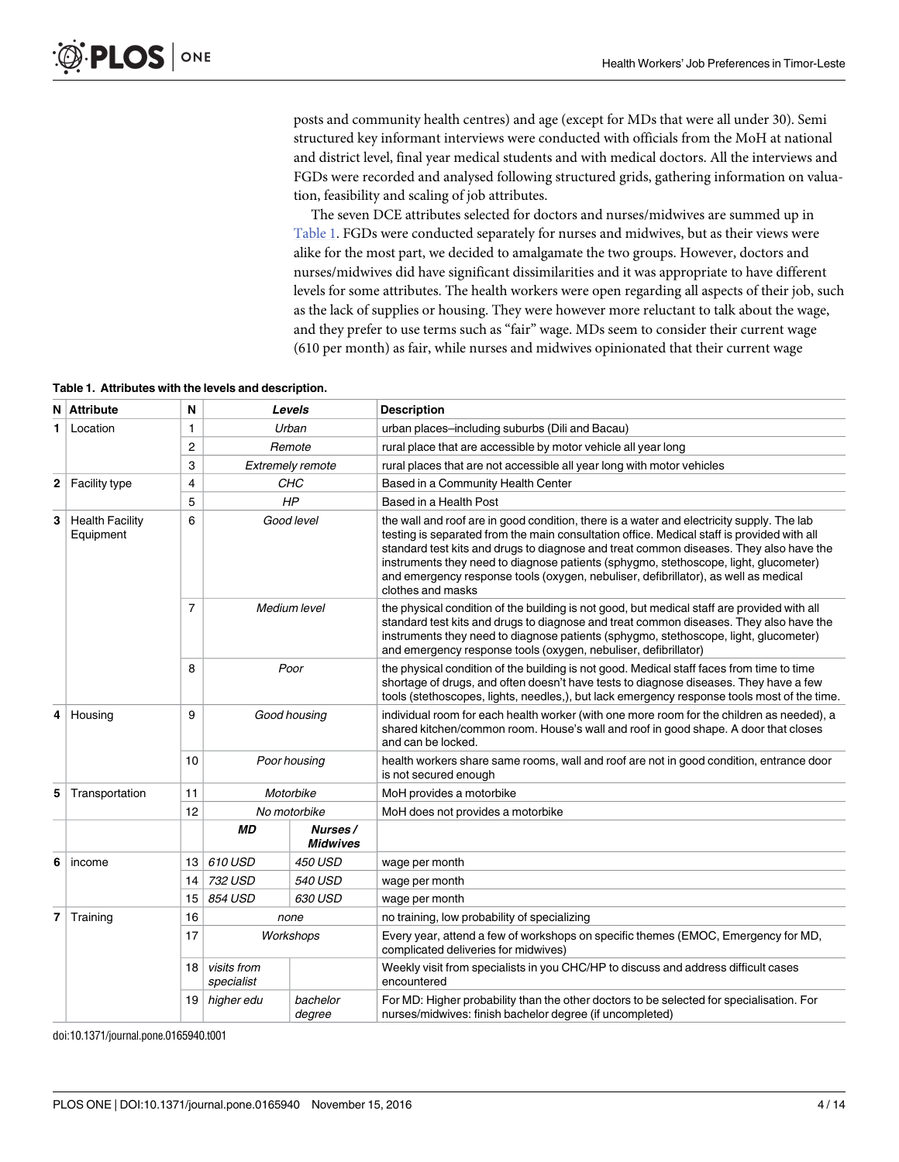posts and community health centres) and age (except for MDs that were all under 30). Semi structured key informant interviews were conducted with officials from the MoH at national and district level, final year medical students and with medical doctors. All the interviews and FGDs were recorded and analysed following structured grids, gathering information on valuation, feasibility and scaling of job attributes.

The seven DCE attributes selected for doctors and nurses/midwives are summed up in Table 1. FGDs were conducted separately for nurses and midwives, but as their views were alike for the most part, we decided to amalgamate the two groups. However, doctors and nurses/midwives did have significant dissimilarities and it was appropriate to have different levels for some attributes. The health workers were open regarding all aspects of their job, such as the lack of supplies or housing. They were however more reluctant to talk about the wage, and they prefer to use terms such as "fair" wage. MDs seem to consider their current wage (610 per month) as fair, while nurses and midwives opinionated that their current wage

| Table 1. Attributes with the levels and description. |  |  |  |  |  |
|------------------------------------------------------|--|--|--|--|--|
|------------------------------------------------------|--|--|--|--|--|

| N | <b>Attribute</b>                    | N  |                           | Levels                     | <b>Description</b>                                                                                                                                                                                                                                                                                                                                                                                                                                                                    |  |  |
|---|-------------------------------------|----|---------------------------|----------------------------|---------------------------------------------------------------------------------------------------------------------------------------------------------------------------------------------------------------------------------------------------------------------------------------------------------------------------------------------------------------------------------------------------------------------------------------------------------------------------------------|--|--|
| 1 | Location                            | 1  |                           | Urban                      | urban places-including suburbs (Dili and Bacau)                                                                                                                                                                                                                                                                                                                                                                                                                                       |  |  |
|   |                                     | 2  |                           | Remote                     | rural place that are accessible by motor vehicle all year long                                                                                                                                                                                                                                                                                                                                                                                                                        |  |  |
|   |                                     | 3  |                           | <b>Extremely remote</b>    | rural places that are not accessible all year long with motor vehicles                                                                                                                                                                                                                                                                                                                                                                                                                |  |  |
| 2 | <b>Facility type</b>                | 4  |                           | CHC                        | Based in a Community Health Center                                                                                                                                                                                                                                                                                                                                                                                                                                                    |  |  |
|   |                                     | 5  |                           | HP                         | Based in a Health Post                                                                                                                                                                                                                                                                                                                                                                                                                                                                |  |  |
| 3 | <b>Health Facility</b><br>Equipment | 6  |                           | Good level                 | the wall and roof are in good condition, there is a water and electricity supply. The lab<br>testing is separated from the main consultation office. Medical staff is provided with all<br>standard test kits and drugs to diagnose and treat common diseases. They also have the<br>instruments they need to diagnose patients (sphygmo, stethoscope, light, glucometer)<br>and emergency response tools (oxygen, nebuliser, defibrillator), as well as medical<br>clothes and masks |  |  |
|   |                                     | 7  |                           | Medium level               | the physical condition of the building is not good, but medical staff are provided with all<br>standard test kits and drugs to diagnose and treat common diseases. They also have the<br>instruments they need to diagnose patients (sphygmo, stethoscope, light, glucometer)<br>and emergency response tools (oxygen, nebuliser, defibrillator)                                                                                                                                      |  |  |
|   |                                     | 8  |                           | Poor                       | the physical condition of the building is not good. Medical staff faces from time to time<br>shortage of drugs, and often doesn't have tests to diagnose diseases. They have a few<br>tools (stethoscopes, lights, needles,), but lack emergency response tools most of the time.                                                                                                                                                                                                     |  |  |
| 4 | Housing                             | 9  |                           | Good housing               | individual room for each health worker (with one more room for the children as needed), a<br>shared kitchen/common room. House's wall and roof in good shape. A door that closes<br>and can be locked.                                                                                                                                                                                                                                                                                |  |  |
|   |                                     | 10 |                           | Poor housing               | health workers share same rooms, wall and roof are not in good condition, entrance door<br>is not secured enough                                                                                                                                                                                                                                                                                                                                                                      |  |  |
| 5 | Transportation                      | 11 |                           | Motorbike                  | MoH provides a motorbike                                                                                                                                                                                                                                                                                                                                                                                                                                                              |  |  |
|   |                                     | 12 |                           | No motorbike               | MoH does not provides a motorbike                                                                                                                                                                                                                                                                                                                                                                                                                                                     |  |  |
|   |                                     |    | МD                        | Nurses/<br><b>Midwives</b> |                                                                                                                                                                                                                                                                                                                                                                                                                                                                                       |  |  |
| 6 | income                              | 13 | 610 USD                   | <b>450 USD</b>             | wage per month                                                                                                                                                                                                                                                                                                                                                                                                                                                                        |  |  |
|   |                                     | 14 | 732 USD                   | <b>540 USD</b>             | wage per month                                                                                                                                                                                                                                                                                                                                                                                                                                                                        |  |  |
|   |                                     | 15 | 854 USD<br>630 USD        |                            | wage per month                                                                                                                                                                                                                                                                                                                                                                                                                                                                        |  |  |
| 7 | Training<br>16<br>none              |    |                           |                            | no training, low probability of specializing                                                                                                                                                                                                                                                                                                                                                                                                                                          |  |  |
|   |                                     | 17 | Workshops                 |                            | Every year, attend a few of workshops on specific themes (EMOC, Emergency for MD,<br>complicated deliveries for midwives)                                                                                                                                                                                                                                                                                                                                                             |  |  |
|   |                                     | 18 | visits from<br>specialist |                            | Weekly visit from specialists in you CHC/HP to discuss and address difficult cases<br>encountered                                                                                                                                                                                                                                                                                                                                                                                     |  |  |
|   |                                     | 19 | higher edu                | bachelor<br>degree         | For MD: Higher probability than the other doctors to be selected for specialisation. For<br>nurses/midwives: finish bachelor degree (if uncompleted)                                                                                                                                                                                                                                                                                                                                  |  |  |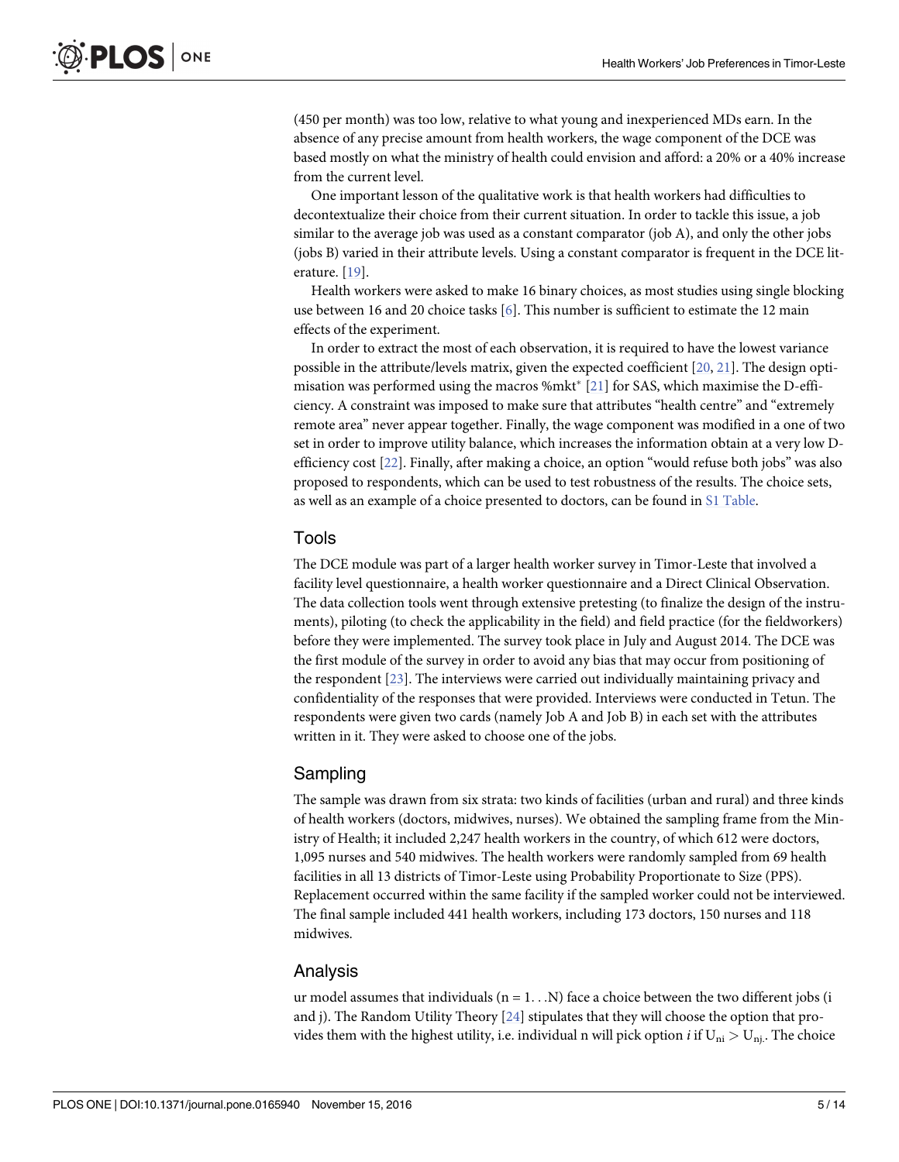<span id="page-4-0"></span>(450 per month) was too low, relative to what young and inexperienced MDs earn. In the absence of any precise amount from health workers, the wage component of the DCE was based mostly on what the ministry of health could envision and afford: a 20% or a 40% increase from the current level.

One important lesson of the qualitative work is that health workers had difficulties to decontextualize their choice from their current situation. In order to tackle this issue, a job similar to the average job was used as a constant comparator (job A), and only the other jobs (jobs B) varied in their attribute levels. Using a constant comparator is frequent in the DCE literature. [\[19\]](#page-13-0).

Health workers were asked to make 16 binary choices, as most studies using single blocking use between 16 and 20 choice tasks [\[6](#page-12-0)]. This number is sufficient to estimate the 12 main effects of the experiment.

In order to extract the most of each observation, it is required to have the lowest variance possible in the attribute/levels matrix, given the expected coefficient [\[20,](#page-13-0) [21\]](#page-13-0). The design optimisation was performed using the macros %mkt\*  $[21]$  for SAS, which maximise the D-efficiency. A constraint was imposed to make sure that attributes "health centre" and "extremely remote area" never appear together. Finally, the wage component was modified in a one of two set in order to improve utility balance, which increases the information obtain at a very low Defficiency cost [[22](#page-13-0)]. Finally, after making a choice, an option "would refuse both jobs" was also proposed to respondents, which can be used to test robustness of the results. The choice sets, as well as an example of a choice presented to doctors, can be found in S1 [Table.](#page-11-0)

### Tools

The DCE module was part of a larger health worker survey in Timor-Leste that involved a facility level questionnaire, a health worker questionnaire and a Direct Clinical Observation. The data collection tools went through extensive pretesting (to finalize the design of the instruments), piloting (to check the applicability in the field) and field practice (for the fieldworkers) before they were implemented. The survey took place in July and August 2014. The DCE was the first module of the survey in order to avoid any bias that may occur from positioning of the respondent [[23](#page-13-0)]. The interviews were carried out individually maintaining privacy and confidentiality of the responses that were provided. Interviews were conducted in Tetun. The respondents were given two cards (namely Job A and Job B) in each set with the attributes written in it. They were asked to choose one of the jobs.

## Sampling

The sample was drawn from six strata: two kinds of facilities (urban and rural) and three kinds of health workers (doctors, midwives, nurses). We obtained the sampling frame from the Ministry of Health; it included 2,247 health workers in the country, of which 612 were doctors, 1,095 nurses and 540 midwives. The health workers were randomly sampled from 69 health facilities in all 13 districts of Timor-Leste using Probability Proportionate to Size (PPS). Replacement occurred within the same facility if the sampled worker could not be interviewed. The final sample included 441 health workers, including 173 doctors, 150 nurses and 118 midwives.

## Analysis

ur model assumes that individuals  $(n = 1, . . . N)$  face a choice between the two different jobs (i and j). The Random Utility Theory [[24](#page-13-0)] stipulates that they will choose the option that provides them with the highest utility, i.e. individual n will pick option *i* if  $U_{ni} > U_{ni}$ . The choice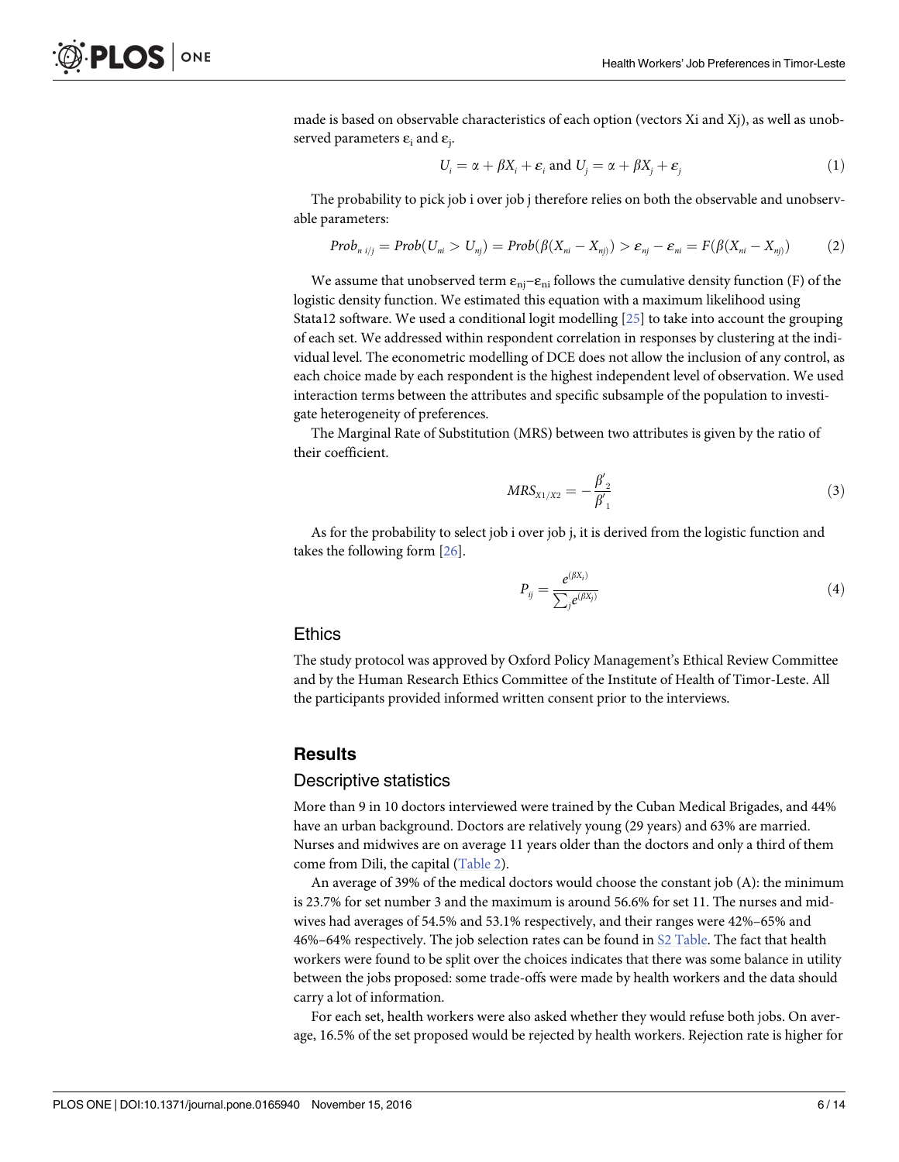<span id="page-5-0"></span>made is based on observable characteristics of each option (vectors Xi and Xj), as well as unobserved parameters  $\varepsilon_i$  and  $\varepsilon_i$ .

$$
U_i = \alpha + \beta X_i + \varepsilon_i \text{ and } U_j = \alpha + \beta X_j + \varepsilon_j \tag{1}
$$

The probability to pick job i over job j therefore relies on both the observable and unobservable parameters:

$$
Prob_{n i/j} = Prob(U_{ni} > U_{nj}) = Prob(\beta(X_{ni} - X_{nj})) > \varepsilon_{nj} - \varepsilon_{ni} = F(\beta(X_{ni} - X_{nj}))
$$
 (2)

We assume that unobserved term  $\varepsilon_{ni}-\varepsilon_{ni}$  follows the cumulative density function (F) of the logistic density function. We estimated this equation with a maximum likelihood using Stata12 software. We used a conditional logit modelling [[25](#page-13-0)] to take into account the grouping of each set. We addressed within respondent correlation in responses by clustering at the individual level. The econometric modelling of DCE does not allow the inclusion of any control, as each choice made by each respondent is the highest independent level of observation. We used interaction terms between the attributes and specific subsample of the population to investigate heterogeneity of preferences.

The Marginal Rate of Substitution (MRS) between two attributes is given by the ratio of their coefficient.

$$
MRS_{X1/X2} = -\frac{\beta'_2}{\beta'_1}
$$
 (3)

As for the probability to select job i over job j, it is derived from the logistic function and takes the following form [\[26\]](#page-13-0).

$$
P_{ij} = \frac{e^{(\beta X_i)}}{\sum_j e^{(\beta X_j)}}\tag{4}
$$

#### **Ethics**

The study protocol was approved by Oxford Policy Management's Ethical Review Committee and by the Human Research Ethics Committee of the Institute of Health of Timor-Leste. All the participants provided informed written consent prior to the interviews.

#### **Results**

#### Descriptive statistics

More than 9 in 10 doctors interviewed were trained by the Cuban Medical Brigades, and 44% have an urban background. Doctors are relatively young (29 years) and 63% are married. Nurses and midwives are on average 11 years older than the doctors and only a third of them come from Dili, the capital [\(Table](#page-6-0) 2).

An average of 39% of the medical doctors would choose the constant job (A): the minimum is 23.7% for set number 3 and the maximum is around 56.6% for set 11. The nurses and midwives had averages of 54.5% and 53.1% respectively, and their ranges were 42%–65% and 46%–64% respectively. The job selection rates can be found in S2 [Table.](#page-11-0) The fact that health workers were found to be split over the choices indicates that there was some balance in utility between the jobs proposed: some trade-offs were made by health workers and the data should carry a lot of information.

For each set, health workers were also asked whether they would refuse both jobs. On average, 16.5% of the set proposed would be rejected by health workers. Rejection rate is higher for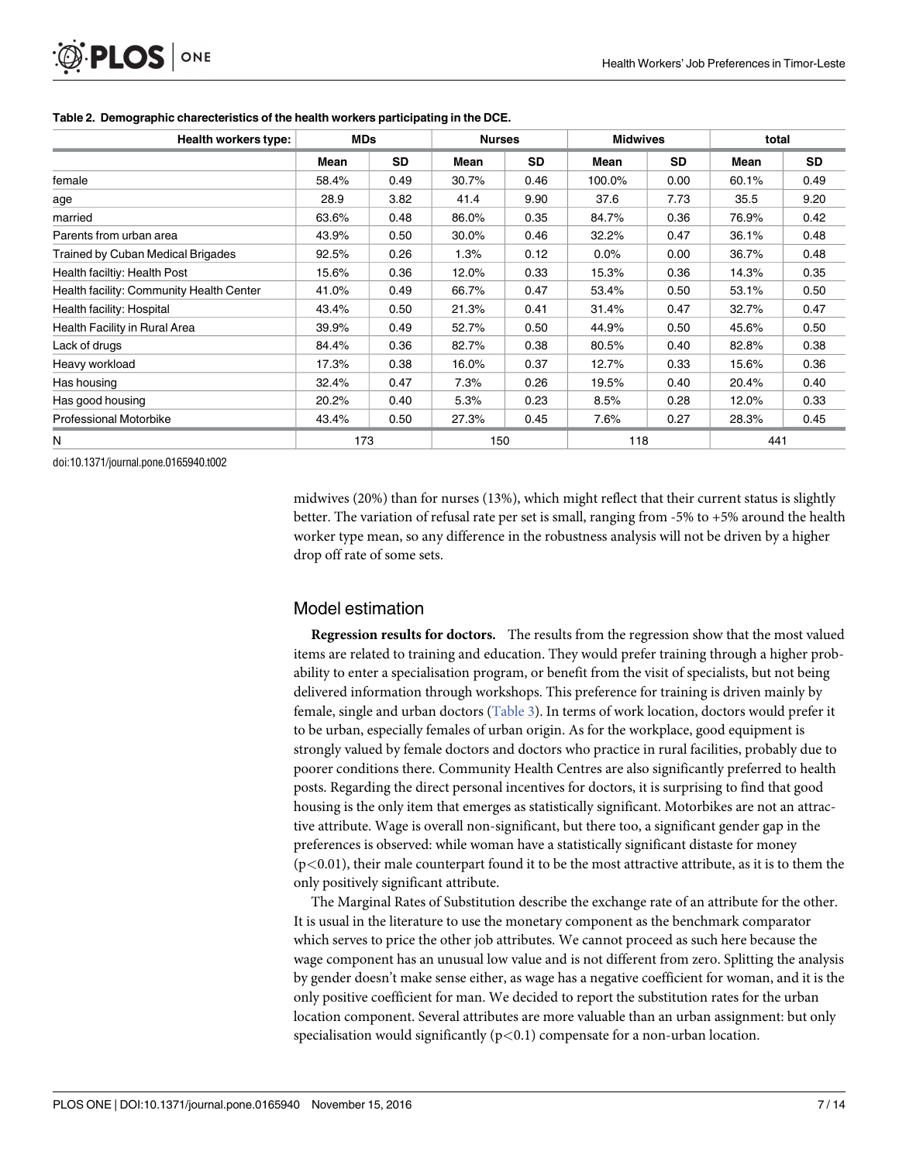<span id="page-6-0"></span>

| Health workers type:                     | <b>MDs</b> |           | <b>Nurses</b> |           | <b>Midwives</b> |           | total |           |
|------------------------------------------|------------|-----------|---------------|-----------|-----------------|-----------|-------|-----------|
|                                          | Mean       | <b>SD</b> | Mean          | <b>SD</b> | Mean            | <b>SD</b> | Mean  | <b>SD</b> |
| female                                   | 58.4%      | 0.49      | 30.7%         | 0.46      | 100.0%          | 0.00      | 60.1% | 0.49      |
| age                                      | 28.9       | 3.82      | 41.4          | 9.90      | 37.6            | 7.73      | 35.5  | 9.20      |
| married                                  | 63.6%      | 0.48      | 86.0%         | 0.35      | 84.7%           | 0.36      | 76.9% | 0.42      |
| Parents from urban area                  | 43.9%      | 0.50      | 30.0%         | 0.46      | 32.2%           | 0.47      | 36.1% | 0.48      |
| Trained by Cuban Medical Brigades        | 92.5%      | 0.26      | 1.3%          | 0.12      | 0.0%            | 0.00      | 36.7% | 0.48      |
| Health faciltiy: Health Post             | 15.6%      | 0.36      | 12.0%         | 0.33      | 15.3%           | 0.36      | 14.3% | 0.35      |
| Health facility: Community Health Center | 41.0%      | 0.49      | 66.7%         | 0.47      | 53.4%           | 0.50      | 53.1% | 0.50      |
| Health facility: Hospital                | 43.4%      | 0.50      | 21.3%         | 0.41      | 31.4%           | 0.47      | 32.7% | 0.47      |
| Health Facility in Rural Area            | 39.9%      | 0.49      | 52.7%         | 0.50      | 44.9%           | 0.50      | 45.6% | 0.50      |
| Lack of drugs                            | 84.4%      | 0.36      | 82.7%         | 0.38      | 80.5%           | 0.40      | 82.8% | 0.38      |
| Heavy workload                           | 17.3%      | 0.38      | 16.0%         | 0.37      | 12.7%           | 0.33      | 15.6% | 0.36      |
| Has housing                              | 32.4%      | 0.47      | 7.3%          | 0.26      | 19.5%           | 0.40      | 20.4% | 0.40      |
| Has good housing                         | 20.2%      | 0.40      | 5.3%          | 0.23      | 8.5%            | 0.28      | 12.0% | 0.33      |
| <b>Professional Motorbike</b>            | 43.4%      | 0.50      | 27.3%         | 0.45      | 7.6%            | 0.27      | 28.3% | 0.45      |
| N                                        | 173        |           | 150           |           | 118             |           | 441   |           |

#### **[Table](#page-5-0) 2. Demographic charecteristics of the health workers participating in the DCE.**

doi:10.1371/journal.pone.0165940.t002

midwives (20%) than for nurses (13%), which might reflect that their current status is slightly better. The variation of refusal rate per set is small, ranging from -5% to +5% around the health worker type mean, so any difference in the robustness analysis will not be driven by a higher drop off rate of some sets.

## Model estimation

**Regression results for doctors.** The results from the regression show that the most valued items are related to training and education. They would prefer training through a higher probability to enter a specialisation program, or benefit from the visit of specialists, but not being delivered information through workshops. This preference for training is driven mainly by female, single and urban doctors [\(Table](#page-7-0) 3). In terms of work location, doctors would prefer it to be urban, especially females of urban origin. As for the workplace, good equipment is strongly valued by female doctors and doctors who practice in rural facilities, probably due to poorer conditions there. Community Health Centres are also significantly preferred to health posts. Regarding the direct personal incentives for doctors, it is surprising to find that good housing is the only item that emerges as statistically significant. Motorbikes are not an attractive attribute. Wage is overall non-significant, but there too, a significant gender gap in the preferences is observed: while woman have a statistically significant distaste for money (p*<*0.01), their male counterpart found it to be the most attractive attribute, as it is to them the only positively significant attribute.

The Marginal Rates of Substitution describe the exchange rate of an attribute for the other. It is usual in the literature to use the monetary component as the benchmark comparator which serves to price the other job attributes. We cannot proceed as such here because the wage component has an unusual low value and is not different from zero. Splitting the analysis by gender doesn't make sense either, as wage has a negative coefficient for woman, and it is the only positive coefficient for man. We decided to report the substitution rates for the urban location component. Several attributes are more valuable than an urban assignment: but only specialisation would significantly (p*<*0.1) compensate for a non-urban location.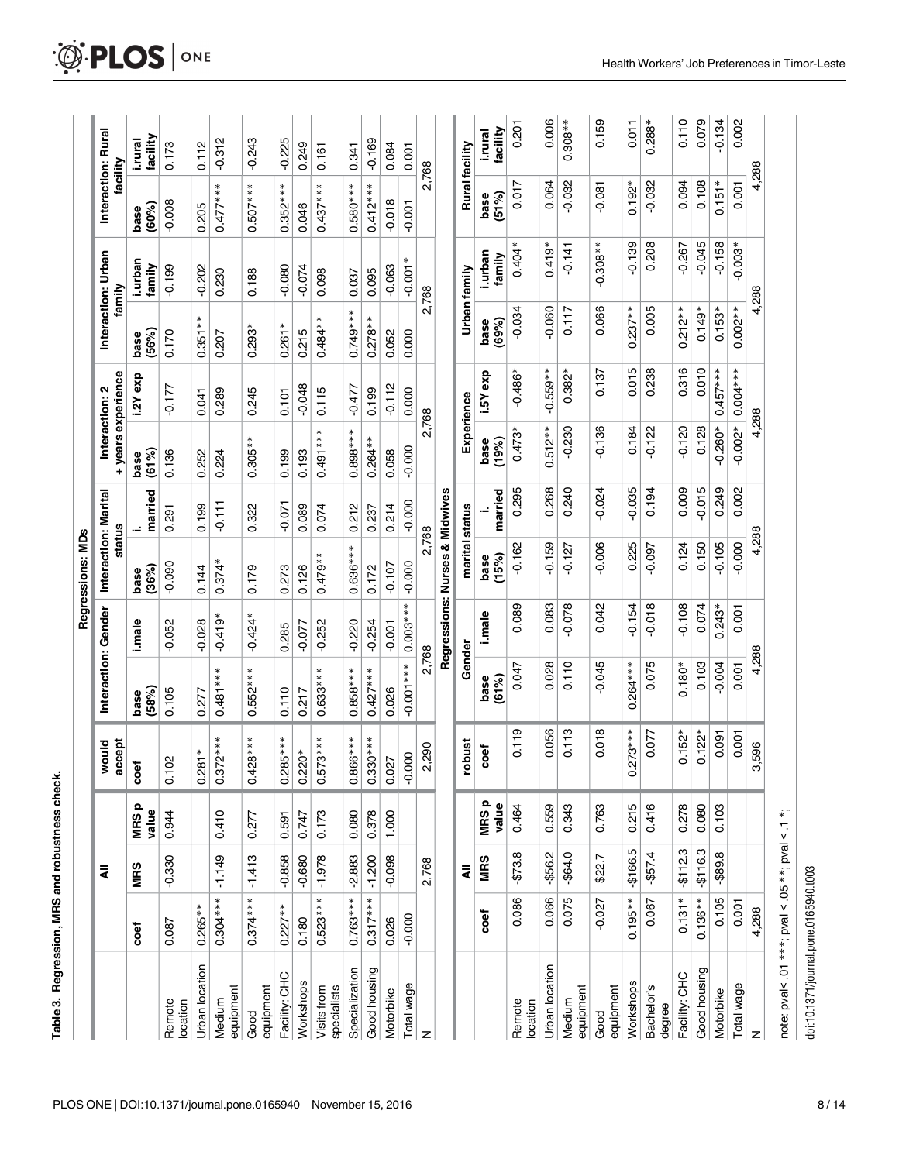<span id="page-7-0"></span>

|                                                         |            |            |                      |                                 |                     |            | Regressions: MDs               |          |                                      |            |                              |                   |                                |                     |
|---------------------------------------------------------|------------|------------|----------------------|---------------------------------|---------------------|------------|--------------------------------|----------|--------------------------------------|------------|------------------------------|-------------------|--------------------------------|---------------------|
|                                                         |            | ₹          |                      | would<br>accept                 | Interaction: Gender |            | Interaction: Marital<br>status |          | + years experience<br>Interaction: 2 |            | Interaction: Urban<br>family |                   | Interaction: Rural<br>facility |                     |
|                                                         | coef       | <b>MRS</b> | <b>MRSp</b><br>value | coef                            | (58%)<br>base       | i.male     | (36%)<br>base                  | married  | (61%)<br>base                        | i.2Yexp    | (56%)<br>base                | i.urban<br>family | (60%)<br>base                  | facility<br>i.rural |
| Remote<br>location                                      | 0.087      | $-0.330$   | 0.944                | $\mathcal{S}$<br>$\overline{C}$ | 0.105               | $-0.052$   | $-0.090$                       | 0.291    | 0.136                                | $-0.177$   | 0.170                        | $-0.199$          | $-0.008$                       | 0.173               |
| Urban location                                          | $0.265**$  |            |                      | $0.281*$                        | 0.277               | $-0.028$   | 0.144                          | 0.199    | 0.252                                | 0.041      | $0.351**$                    | $-0.202$          | 0.205                          | 0.112               |
| equipment<br>Medium                                     | $0.304***$ | $-1.149$   | 0.410                | $0.372***$                      | $0.481***$          | $-0.419*$  | $0.374*$                       | $-0.111$ | 0.224                                | 0.289      | 0.207                        | 0.230             | $0.477***$                     | $-0.312$            |
| equipment<br>Good                                       | $0.374***$ | $-1.413$   | 0.277                | $0.428***$                      | $0.552***$          | $-0.424*$  | 0.179                          | 0.322    | $0.305**$                            | 0.245      | $0.293*$                     | 0.188             | $0.507***$                     | $-0.243$            |
| Facility: CHC                                           | $0.227**$  | $-0.858$   | 0.591                | $0.285***$                      | 0.110               | 0.285      | 0.273                          | $-0.071$ | 0.199                                | 0.101      | $0.261*$                     | $-0.080$          | $0.352***$                     | $-0.225$            |
| Workshops                                               | 0.180      | $-0.680$   | 0.747                | $0.220*$                        | 0.217               | $-0.077$   | 0.126                          | 0.089    | 0.193                                | $-0.048$   | 0.215                        | $-0.074$          | 0.046                          | 0.249               |
| Visits from<br>specialists                              | $0.523***$ | $-1.978$   | 0.173                | $0.573***$                      | $0.633***$          | $-0.252$   | $0.479**$                      | 0.074    | $0.491***$                           | 0.115      | $0.484**$                    | 0.098             | $0.437***$                     | 0.161               |
| Specialization                                          | $0.763***$ | $-2.883$   | 0.080                | $0.866***$                      | $0.858***$          | $-0.220$   | $0.636***$                     | 0.212    | $0.898***$                           | $-0.477$   | $0.749***$                   | 0.037             | $0.580***$                     | 0.341               |
| Good housing                                            | $0.317***$ | $-1.200$   | 0.378                | $0.330***$                      | $0.427***$          | $-0.254$   | 0.172                          | 0.237    | $0.264**$                            | 0.199      | $0.278**$                    | 0.095             | $0.412***$                     | $-0.169$            |
| Motorbike                                               | 0.026      | $-0.098$   | 1.000                | 0.027                           | 0.026               | $-0.001$   | $-0.107$                       | 0.214    | 0.058                                | $-0.112$   | 0.052                        | $-0.063$          | $-0.018$                       | 0.084               |
| Total wage                                              | $-0.000$   |            |                      | $-0.000$                        | $-0.001***$         | $0.003***$ | $-0.000$                       | $-0.000$ | $-0.000$                             | 0.000      | 0.000                        | $-0.001*$         | $-0.001$                       | 0.001               |
| z                                                       |            | 2,768      |                      | 2,290                           | 2,768               |            | 2,768                          |          | 2,768                                |            | 2,768                        |                   | 2,768                          |                     |
|                                                         |            |            |                      |                                 |                     |            | Regressions: Nurses & Midwives |          |                                      |            |                              |                   |                                |                     |
|                                                         |            | ₹          |                      | robust                          | Gender              |            | marital status                 |          | Experience                           |            | Urban family                 |                   | Rural facility                 |                     |
|                                                         | coef       | <b>MRS</b> | MRSp<br>value        | coef                            | base<br>(61%)       | i.male     | (15%)<br>base                  | married  | base<br>(19%)                        | i.5Yexp    | (69%)<br>base                | i.urban<br>family | base<br>(51%)                  | facility<br>i.rural |
| Remote<br>location                                      | 0.086      | $-$73.8$   | 0.464                | 0.119                           | 0.047               | 0.089      | $-0.162$                       | 0.295    | $0.473*$                             | $-0.486*$  | $-0.034$                     | $0.404*$          | 0.017                          | 0.201               |
| Urban location                                          | 0.066      | $-$ \$56.2 | 0.559                | 0.056                           | 0.028               | 0.083      | $-0.159$                       | 0.268    | $0.512**$                            | $-0.559**$ | $-0.060$                     | $0.419*$          | 0.064                          | 0.006               |
| equipment<br>Medium                                     | 0.075      | $-$ \$64.0 | 0.343                | 0.113                           | 0.110               | $-0.078$   | $-0.127$                       | 0.240    | $-0.230$                             | $0.382*$   | 0.117                        | $-0.141$          | $-0.032$                       | $0.308**$           |
| equipment<br>Good                                       | $-0.027$   | \$22.7     | 0.763                | 0.018                           | $-0.045$            | 0.042      | $-0.006$                       | $-0.024$ | $-0.136$                             | 0.137      | 0.066                        | $-0.308**$        | $-0.081$                       | 0.159               |
| Workshops                                               | $0.195**$  | $-$166.5$  | 0.215                | $273***$<br>ö                   | $0.264***$          | $-0.154$   | 0.225                          | $-0.035$ | 0.184                                | 0.015      | $0.237**$                    | $-0.139$          | $0.192*$                       | 0.011               |
| Bachelor's<br>degree                                    | 0.067      | $-$ \$57.4 | 0.416                | 0.077                           | 0.075               | $-0.018$   | $-0.097$                       | 0.194    | $-0.122$                             | 0.238      | 0.005                        | 0.208             | $-0.032$                       | $0.288*$            |
| Facility: CHC                                           | $0.131*$   | $-$112.3$  | 0.278                | $0.152*$                        | $0.180*$            | $-0.108$   | 0.124                          | 0.009    | $-0.120$                             | 0.316      | $0.212**$                    | $-0.267$          | 0.094                          | 0.110               |
| Good housing                                            | $0.136**$  | $-$116.3$  | 0.080                | $0.122*$                        | 0.103               | 0.074      | 0.150                          | $-0.015$ | 0.128                                | 0.010      | $0.149*$                     | $-0.045$          | 0.108                          | 0.079               |
| Motorbike                                               | 0.105      | $-$ \$89.8 | 0.103                | 0.091                           | $-0.004$            | $0.243*$   | $-0.105$                       | 0.249    | $-0.260*$                            | $0.457***$ | $0.153*$                     | $-0.158$          | $0.151*$                       | $-0.134$            |
| Total wage                                              | 0.001      |            |                      | 0.001                           | 0.001               | 0.001      | $-0.000$                       | 0.002    | $-0.002*$                            | $0.004***$ | $0.002**$                    | $-0.003*$         | 0.001                          | 0.002               |
| z                                                       | 4,288      |            |                      | 3,596                           | 4,288               |            | 4,288                          |          | 4,288                                |            | 4,288                        |                   | 4,288                          |                     |
| note: $pval < .01$ ***; $pval < .05$ **; $pval < .1$ *; |            |            |                      |                                 |                     |            |                                |          |                                      |            |                              |                   |                                |                     |

**[Table](#page-6-0) 3. Regression, MRS and robustness check.**

Table 3. Regression, MRS and robustness check.

doi:10.1371/journal.pone.0165940.t003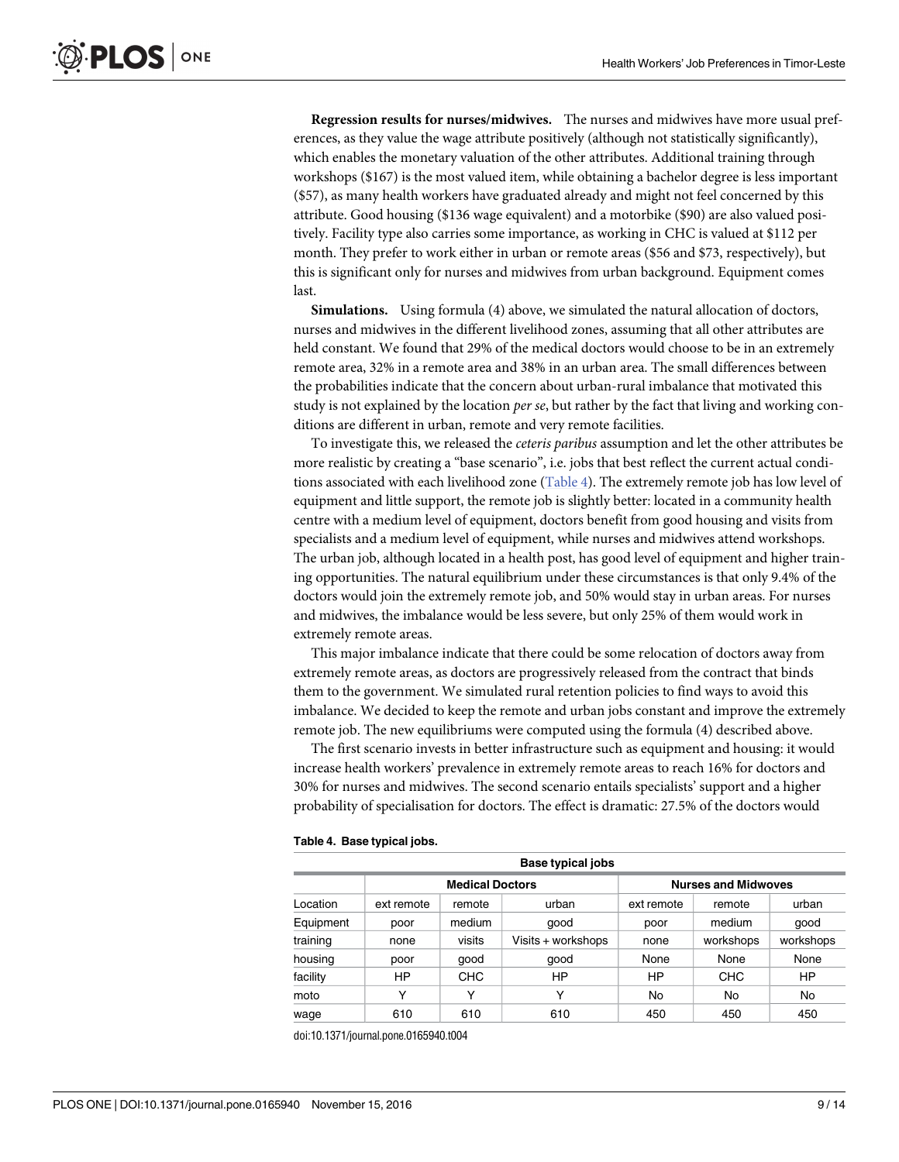**Regression results for nurses/midwives.** The nurses and midwives have more usual preferences, as they value the wage attribute positively (although not statistically significantly), which enables the monetary valuation of the other attributes. Additional training through workshops (\$167) is the most valued item, while obtaining a bachelor degree is less important (\$57), as many health workers have graduated already and might not feel concerned by this attribute. Good housing (\$136 wage equivalent) and a motorbike (\$90) are also valued positively. Facility type also carries some importance, as working in CHC is valued at \$112 per month. They prefer to work either in urban or remote areas (\$56 and \$73, respectively), but this is significant only for nurses and midwives from urban background. Equipment comes last.

**Simulations.** Using formula (4) above, we simulated the natural allocation of doctors, nurses and midwives in the different livelihood zones, assuming that all other attributes are held constant. We found that 29% of the medical doctors would choose to be in an extremely remote area, 32% in a remote area and 38% in an urban area. The small differences between the probabilities indicate that the concern about urban-rural imbalance that motivated this study is not explained by the location *per se*, but rather by the fact that living and working conditions are different in urban, remote and very remote facilities.

To investigate this, we released the *ceteris paribus* assumption and let the other attributes be more realistic by creating a "base scenario", i.e. jobs that best reflect the current actual conditions associated with each livelihood zone (Table 4). The extremely remote job has low level of equipment and little support, the remote job is slightly better: located in a community health centre with a medium level of equipment, doctors benefit from good housing and visits from specialists and a medium level of equipment, while nurses and midwives attend workshops. The urban job, although located in a health post, has good level of equipment and higher training opportunities. The natural equilibrium under these circumstances is that only 9.4% of the doctors would join the extremely remote job, and 50% would stay in urban areas. For nurses and midwives, the imbalance would be less severe, but only 25% of them would work in extremely remote areas.

This major imbalance indicate that there could be some relocation of doctors away from extremely remote areas, as doctors are progressively released from the contract that binds them to the government. We simulated rural retention policies to find ways to avoid this imbalance. We decided to keep the remote and urban jobs constant and improve the extremely remote job. The new equilibriums were computed using the formula (4) described above.

The first scenario invests in better infrastructure such as equipment and housing: it would increase health workers' prevalence in extremely remote areas to reach 16% for doctors and 30% for nurses and midwives. The second scenario entails specialists' support and a higher probability of specialisation for doctors. The effect is dramatic: 27.5% of the doctors would

|           | Base typical jobs |                        |                    |            |                            |           |  |  |  |  |
|-----------|-------------------|------------------------|--------------------|------------|----------------------------|-----------|--|--|--|--|
|           |                   | <b>Medical Doctors</b> |                    |            | <b>Nurses and Midwoves</b> |           |  |  |  |  |
| Location  | ext remote        | remote                 | urban              | ext remote | remote                     | urban     |  |  |  |  |
| Equipment | poor              | medium                 | good               | poor       | medium                     | good      |  |  |  |  |
| training  | none              | visits                 | Visits + workshops | none       | workshops                  | workshops |  |  |  |  |
| housing   | poor              | qood                   | good               | None       | None                       | None      |  |  |  |  |
| facility  | НP                | <b>CHC</b>             | HP                 | HP         | <b>CHC</b>                 | HP        |  |  |  |  |
| moto      |                   | Y                      | Y                  | No         | No                         | No        |  |  |  |  |
| wage      | 610               | 610                    | 610                | 450        | 450                        | 450       |  |  |  |  |

#### **Table 4. Base typical jobs.**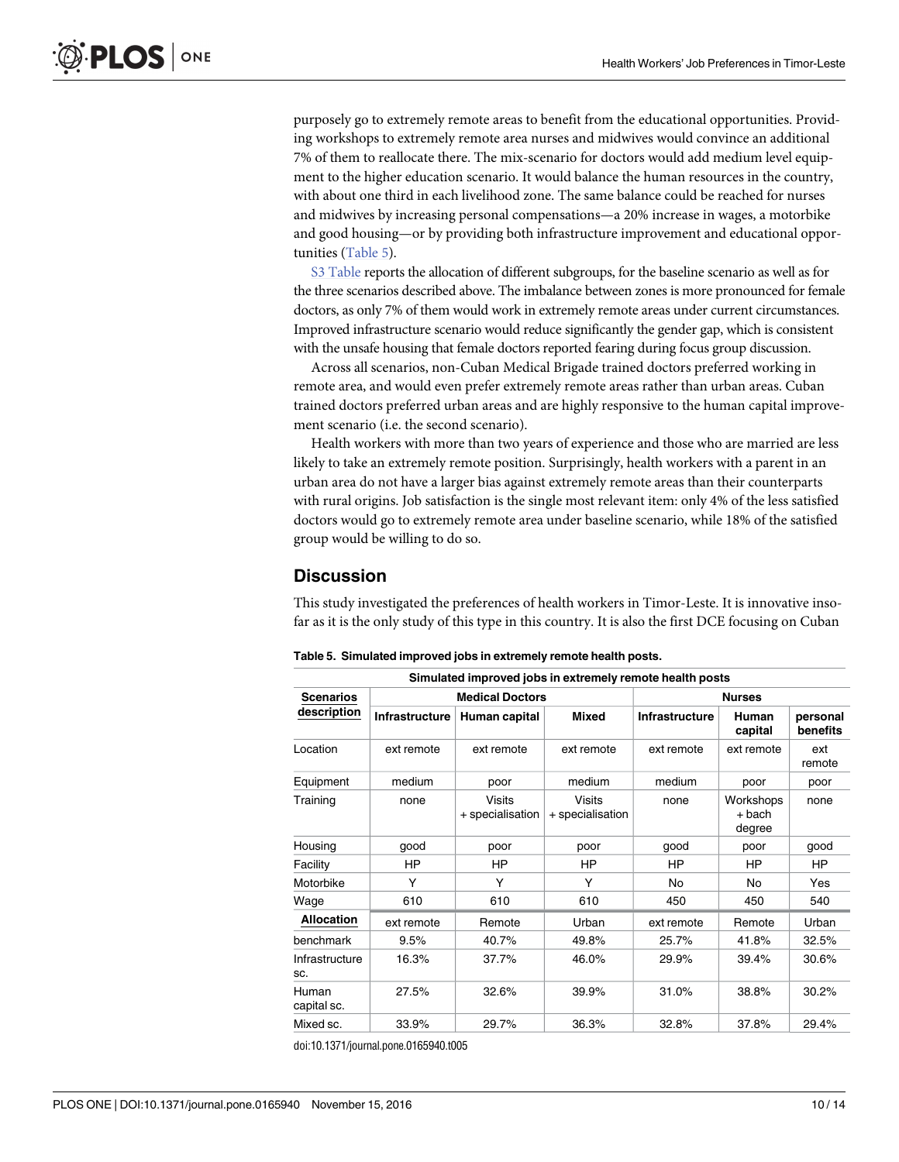purposely go to extremely remote areas to benefit from the educational opportunities. Providing workshops to extremely remote area nurses and midwives would convince an additional 7% of them to reallocate there. The mix-scenario for doctors would add medium level equipment to the higher education scenario. It would balance the human resources in the country, with about one third in each livelihood zone. The same balance could be reached for nurses and midwives by increasing personal compensations—a 20% increase in wages, a motorbike and good housing—or by providing both infrastructure improvement and educational opportunities (Table 5).

S3 [Table](#page-11-0) reports the allocation of different subgroups, for the baseline scenario as well as for the three scenarios described above. The imbalance between zones is more pronounced for female doctors, as only 7% of them would work in extremely remote areas under current circumstances. Improved infrastructure scenario would reduce significantly the gender gap, which is consistent with the unsafe housing that female doctors reported fearing during focus group discussion.

Across all scenarios, non-Cuban Medical Brigade trained doctors preferred working in remote area, and would even prefer extremely remote areas rather than urban areas. Cuban trained doctors preferred urban areas and are highly responsive to the human capital improvement scenario (i.e. the second scenario).

Health workers with more than two years of experience and those who are married are less likely to take an extremely remote position. Surprisingly, health workers with a parent in an urban area do not have a larger bias against extremely remote areas than their counterparts with rural origins. Job satisfaction is the single most relevant item: only 4% of the less satisfied doctors would go to extremely remote area under baseline scenario, while 18% of the satisfied group would be willing to do so.

## **Discussion**

This study investigated the preferences of health workers in Timor-Leste. It is innovative insofar as it is the only study of this type in this country. It is also the first DCE focusing on Cuban

|                       |                       | Simulated improved jobs in extremely remote health posts |                                   |                       |                                 |                      |
|-----------------------|-----------------------|----------------------------------------------------------|-----------------------------------|-----------------------|---------------------------------|----------------------|
| <b>Scenarios</b>      |                       | <b>Medical Doctors</b>                                   |                                   |                       | <b>Nurses</b>                   |                      |
| description           | <b>Infrastructure</b> | Human capital                                            | <b>Mixed</b>                      | <b>Infrastructure</b> | Human<br>capital                | personal<br>benefits |
| Location              | ext remote            | ext remote                                               | ext remote                        | ext remote            | ext remote                      | ext<br>remote        |
| Equipment             | medium                | poor                                                     | medium                            | medium                | poor                            | poor                 |
| Training              | none                  | <b>Visits</b><br>+ specialisation                        | <b>Visits</b><br>+ specialisation | none                  | Workshops<br>$+$ bach<br>degree | none                 |
| Housing               | good                  | poor                                                     | poor                              | good                  | poor                            | good                 |
| Facility              | HP                    | HP                                                       | ΗP                                | HP                    | HP                              | ΗP                   |
| Motorbike             | Υ                     | Υ                                                        | Υ                                 | No                    | No                              | Yes                  |
| Wage                  | 610                   | 610                                                      | 610                               | 450                   | 450                             | 540                  |
| <b>Allocation</b>     | ext remote            | Remote                                                   | Urban                             | ext remote            | Remote                          | Urban                |
| benchmark             | 9.5%                  | 40.7%                                                    | 49.8%                             | 25.7%                 | 41.8%                           | 32.5%                |
| Infrastructure<br>SC. | 16.3%                 | 37.7%                                                    | 46.0%                             | 29.9%                 | 39.4%                           | 30.6%                |
| Human<br>capital sc.  | 27.5%                 | 32.6%                                                    | 39.9%                             | 31.0%                 | 38.8%                           | 30.2%                |
| Mixed sc.             | 33.9%                 | 29.7%                                                    | 36.3%                             | 32.8%                 | 37.8%                           | 29.4%                |
|                       |                       |                                                          |                                   |                       |                                 |                      |

**Table 5. Simulated improved jobs in extremely remote health posts.**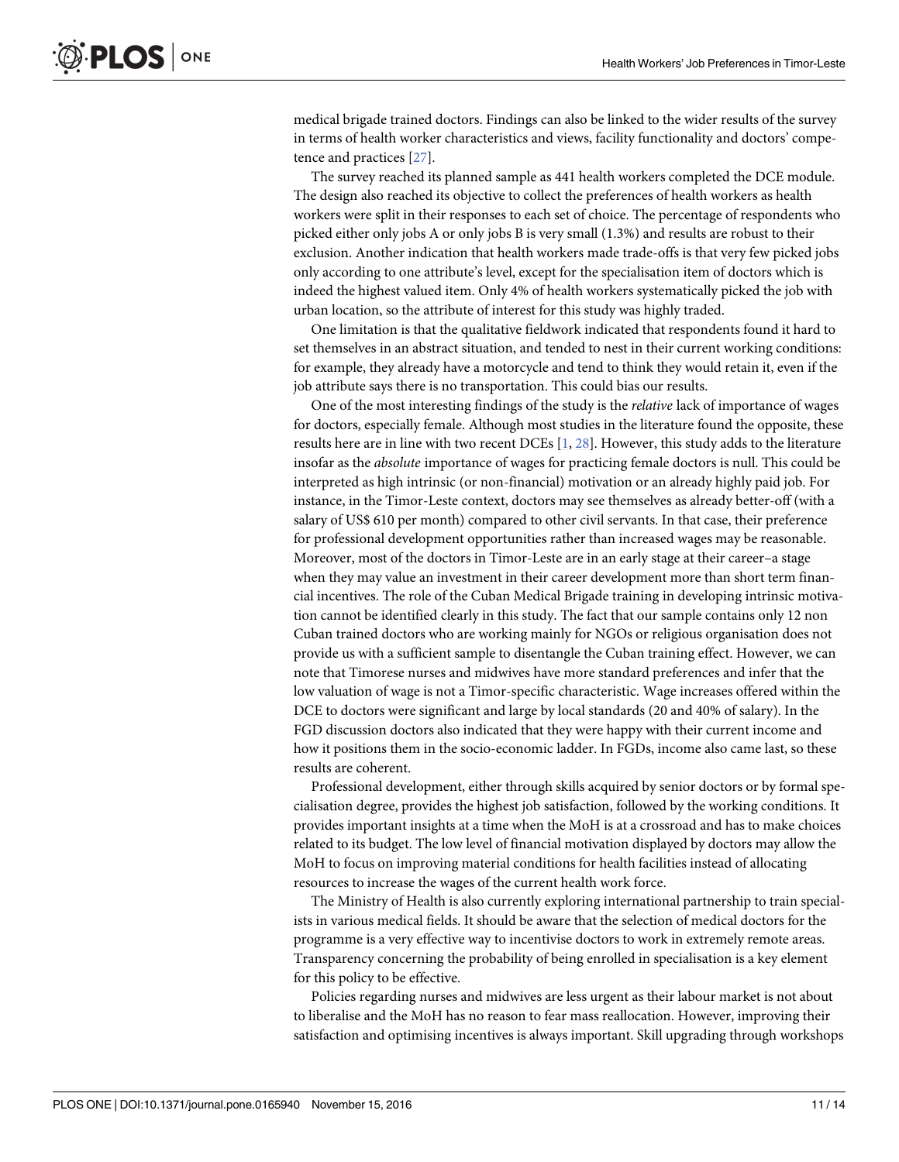<span id="page-10-0"></span>medical brigade trained doctors. Findings can also be linked to the wider results of the survey in terms of health worker characteristics and views, facility functionality and doctors' competence and practices [\[27\]](#page-13-0).

The survey reached its planned sample as 441 health workers completed the DCE module. The design also reached its objective to collect the preferences of health workers as health workers were split in their responses to each set of choice. The percentage of respondents who picked either only jobs A or only jobs B is very small (1.3%) and results are robust to their exclusion. Another indication that health workers made trade-offs is that very few picked jobs only according to one attribute's level, except for the specialisation item of doctors which is indeed the highest valued item. Only 4% of health workers systematically picked the job with urban location, so the attribute of interest for this study was highly traded.

One limitation is that the qualitative fieldwork indicated that respondents found it hard to set themselves in an abstract situation, and tended to nest in their current working conditions: for example, they already have a motorcycle and tend to think they would retain it, even if the job attribute says there is no transportation. This could bias our results.

One of the most interesting findings of the study is the *relative* lack of importance of wages for doctors, especially female. Although most studies in the literature found the opposite, these results here are in line with two recent DCEs [[1](#page-12-0), [28](#page-13-0)]. However, this study adds to the literature insofar as the *absolute* importance of wages for practicing female doctors is null. This could be interpreted as high intrinsic (or non-financial) motivation or an already highly paid job. For instance, in the Timor-Leste context, doctors may see themselves as already better-off (with a salary of US\$ 610 per month) compared to other civil servants. In that case, their preference for professional development opportunities rather than increased wages may be reasonable. Moreover, most of the doctors in Timor-Leste are in an early stage at their career–a stage when they may value an investment in their career development more than short term financial incentives. The role of the Cuban Medical Brigade training in developing intrinsic motivation cannot be identified clearly in this study. The fact that our sample contains only 12 non Cuban trained doctors who are working mainly for NGOs or religious organisation does not provide us with a sufficient sample to disentangle the Cuban training effect. However, we can note that Timorese nurses and midwives have more standard preferences and infer that the low valuation of wage is not a Timor-specific characteristic. Wage increases offered within the DCE to doctors were significant and large by local standards (20 and 40% of salary). In the FGD discussion doctors also indicated that they were happy with their current income and how it positions them in the socio-economic ladder. In FGDs, income also came last, so these results are coherent.

Professional development, either through skills acquired by senior doctors or by formal specialisation degree, provides the highest job satisfaction, followed by the working conditions. It provides important insights at a time when the MoH is at a crossroad and has to make choices related to its budget. The low level of financial motivation displayed by doctors may allow the MoH to focus on improving material conditions for health facilities instead of allocating resources to increase the wages of the current health work force.

The Ministry of Health is also currently exploring international partnership to train specialists in various medical fields. It should be aware that the selection of medical doctors for the programme is a very effective way to incentivise doctors to work in extremely remote areas. Transparency concerning the probability of being enrolled in specialisation is a key element for this policy to be effective.

Policies regarding nurses and midwives are less urgent as their labour market is not about to liberalise and the MoH has no reason to fear mass reallocation. However, improving their satisfaction and optimising incentives is always important. Skill upgrading through workshops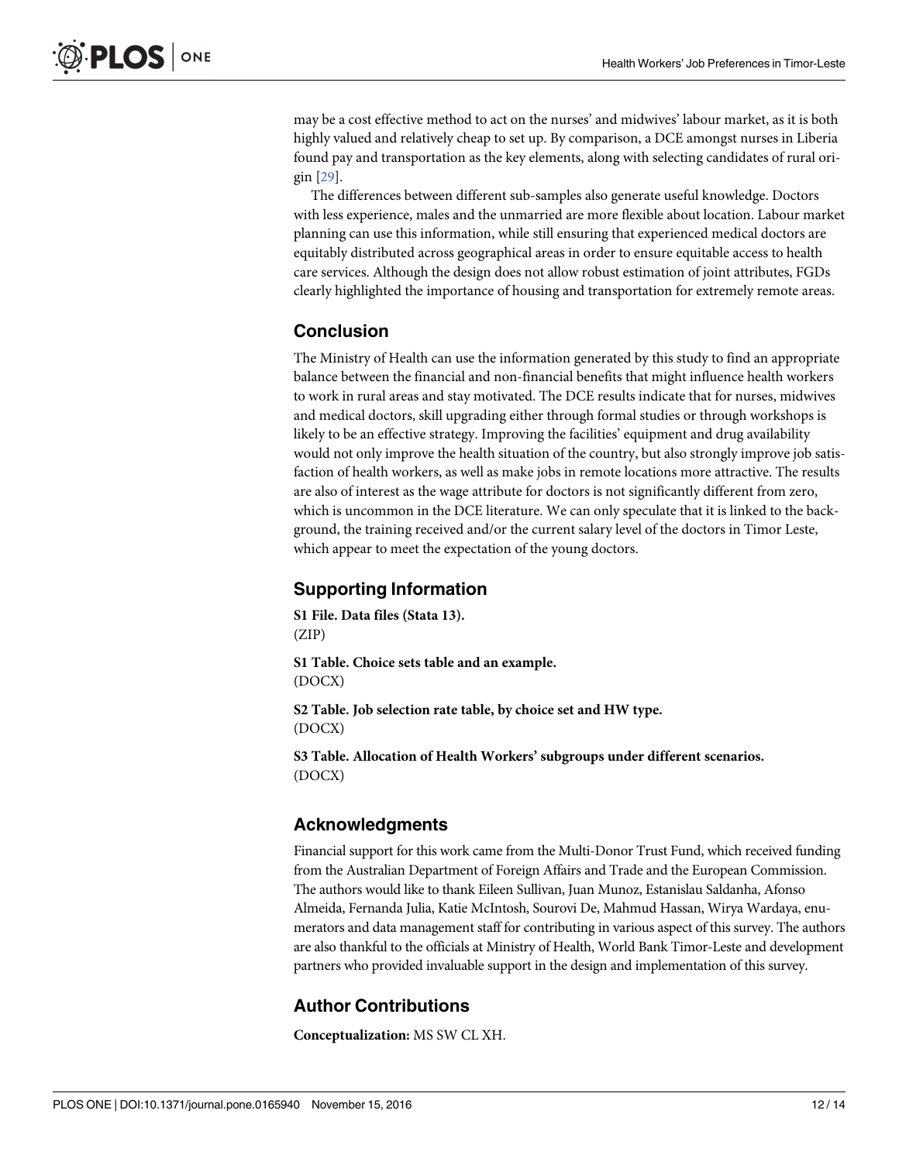<span id="page-11-0"></span>may be a cost effective method to act on the nurses' and midwives' labour market, as it is both highly valued and relatively cheap to set up. By comparison, a DCE amongst nurses in Liberia found pay and transportation as the key elements, along with selecting candidates of rural origin [\[29\]](#page-13-0).

The differences between different sub-samples also generate useful knowledge. Doctors with less experience, males and the unmarried are more flexible about location. Labour market planning can use this information, while still ensuring that experienced medical doctors are equitably distributed across geographical areas in order to ensure equitable access to health care services. Although the design does not allow robust estimation of joint attributes, FGDs clearly highlighted the importance of housing and transportation for extremely remote areas.

## **Conclusion**

The Ministry of Health can use the information generated by this study to find an appropriate balance between the financial and non-financial benefits that might influence health workers to work in rural areas and stay motivated. The DCE results indicate that for nurses, midwives and medical doctors, skill upgrading either through formal studies or through workshops is likely to be an effective strategy. Improving the facilities' equipment and drug availability would not only improve the health situation of the country, but also strongly improve job satisfaction of health workers, as well as make jobs in remote locations more attractive. The results are also of interest as the wage attribute for doctors is not significantly different from zero, which is uncommon in the DCE literature. We can only speculate that it is linked to the background, the training received and/or the current salary level of the doctors in Timor Leste, which appear to meet the expectation of the young doctors.

## **Supporting Information**

**S1 [File.](http://www.plosone.org/article/fetchSingleRepresentation.action?uri=info:doi/10.1371/journal.pone.0165940.s001) Data files (Stata 13).** (ZIP)

**S1 [Table.](http://www.plosone.org/article/fetchSingleRepresentation.action?uri=info:doi/10.1371/journal.pone.0165940.s002) Choice sets table and an example.** (DOCX)

**S2 [Table.](http://www.plosone.org/article/fetchSingleRepresentation.action?uri=info:doi/10.1371/journal.pone.0165940.s003) Job selection rate table, by choice set and HW type.** (DOCX)

**S3 [Table.](http://www.plosone.org/article/fetchSingleRepresentation.action?uri=info:doi/10.1371/journal.pone.0165940.s004) Allocation of Health Workers' subgroups under different scenarios.** (DOCX)

## **Acknowledgments**

Financial support for this work came from the Multi-Donor Trust Fund, which received funding from the Australian Department of Foreign Affairs and Trade and the European Commission. The authors would like to thank Eileen Sullivan, Juan Munoz, Estanislau Saldanha, Afonso Almeida, Fernanda Julia, Katie McIntosh, Sourovi De, Mahmud Hassan, Wirya Wardaya, enumerators and data management staff for contributing in various aspect of this survey. The authors are also thankful to the officials at Ministry of Health, World Bank Timor-Leste and development partners who provided invaluable support in the design and implementation of this survey.

## **Author Contributions**

**Conceptualization:** MS SW CL XH.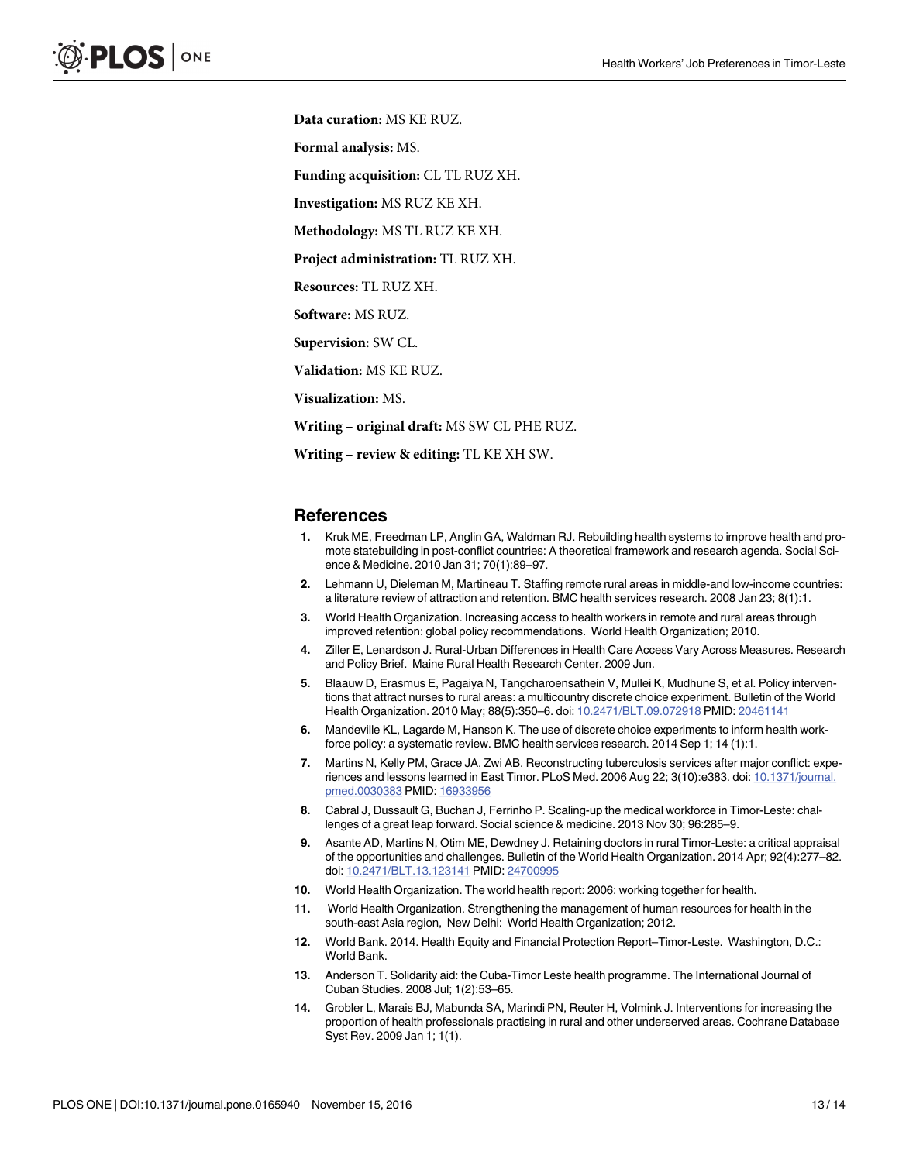<span id="page-12-0"></span>**Data curation:** MS KE RUZ.

**Formal analysis:** MS.

**Funding acquisition:** CL TL RUZ XH.

**Investigation:** MS RUZ KE XH.

**Methodology:** MS TL RUZ KE XH.

**Project administration:** TL RUZ XH.

**Resources:** TL RUZ XH.

**Software:** MS RUZ.

**Supervision:** SW CL.

**Validation:** MS KE RUZ.

**Visualization:** MS.

**Writing – original draft:** MS SW CL PHE RUZ.

**Writing – review & editing:** TL KE XH SW.

#### **References**

- **[1](#page-1-0).** Kruk ME, Freedman LP, Anglin GA, Waldman RJ. Rebuilding health systems to improve health and promote statebuilding in post-conflict countries: A theoretical framework and research agenda. Social Science & Medicine. 2010 Jan 31; 70(1):89–97.
- **[2](#page-1-0).** Lehmann U, Dieleman M, Martineau T. Staffing remote rural areas in middle-and low-income countries: a literature review of attraction and retention. BMC health services research. 2008 Jan 23; 8(1):1.
- **[3](#page-1-0).** World Health Organization. Increasing access to health workers in remote and rural areas through improved retention: global policy recommendations. World Health Organization; 2010.
- **[4](#page-1-0).** Ziller E, Lenardson J. Rural-Urban Differences in Health Care Access Vary Across Measures. Research and Policy Brief. Maine Rural Health Research Center. 2009 Jun.
- **[5](#page-1-0).** Blaauw D, Erasmus E, Pagaiya N, Tangcharoensathein V, Mullei K, Mudhune S, et al. Policy interventions that attract nurses to rural areas: a multicountry discrete choice experiment. Bulletin of the World Health Organization. 2010 May; 88(5):350–6. doi: [10.2471/BLT.09.072918](http://dx.doi.org/10.2471/BLT.09.072918) PMID: [20461141](http://www.ncbi.nlm.nih.gov/pubmed/20461141)
- **[6](#page-1-0).** Mandeville KL, Lagarde M, Hanson K. The use of discrete choice experiments to inform health workforce policy: a systematic review. BMC health services research. 2014 Sep 1; 14 (1):1.
- **[7](#page-1-0).** Martins N, Kelly PM, Grace JA, Zwi AB. Reconstructing tuberculosis services after major conflict: experiences and lessons learned in East Timor. PLoS Med. 2006 Aug 22; 3(10):e383. doi: [10.1371/journal.](http://dx.doi.org/10.1371/journal.pmed.0030383) [pmed.0030383](http://dx.doi.org/10.1371/journal.pmed.0030383) PMID: [16933956](http://www.ncbi.nlm.nih.gov/pubmed/16933956)
- **[8](#page-1-0).** Cabral J, Dussault G, Buchan J, Ferrinho P. Scaling-up the medical workforce in Timor-Leste: challenges of a great leap forward. Social science & medicine. 2013 Nov 30; 96:285–9.
- **[9](#page-1-0).** Asante AD, Martins N, Otim ME, Dewdney J. Retaining doctors in rural Timor-Leste: a critical appraisal of the opportunities and challenges. Bulletin of the World Health Organization. 2014 Apr; 92(4):277–82. doi: [10.2471/BLT.13.123141](http://dx.doi.org/10.2471/BLT.13.123141) PMID: [24700995](http://www.ncbi.nlm.nih.gov/pubmed/24700995)
- **[10](#page-1-0).** World Health Organization. The world health report: 2006: working together for health.
- **[11](#page-1-0).** World Health Organization. Strengthening the management of human resources for health in the south-east Asia region, New Delhi: World Health Organization; 2012.
- **[12](#page-1-0).** World Bank. 2014. Health Equity and Financial Protection Report–Timor-Leste. Washington, D.C.: World Bank.
- **[13](#page-2-0).** Anderson T. Solidarity aid: the Cuba-Timor Leste health programme. The International Journal of Cuban Studies. 2008 Jul; 1(2):53–65.
- **[14](#page-2-0).** Grobler L, Marais BJ, Mabunda SA, Marindi PN, Reuter H, Volmink J. Interventions for increasing the proportion of health professionals practising in rural and other underserved areas. Cochrane Database Syst Rev. 2009 Jan 1; 1(1).